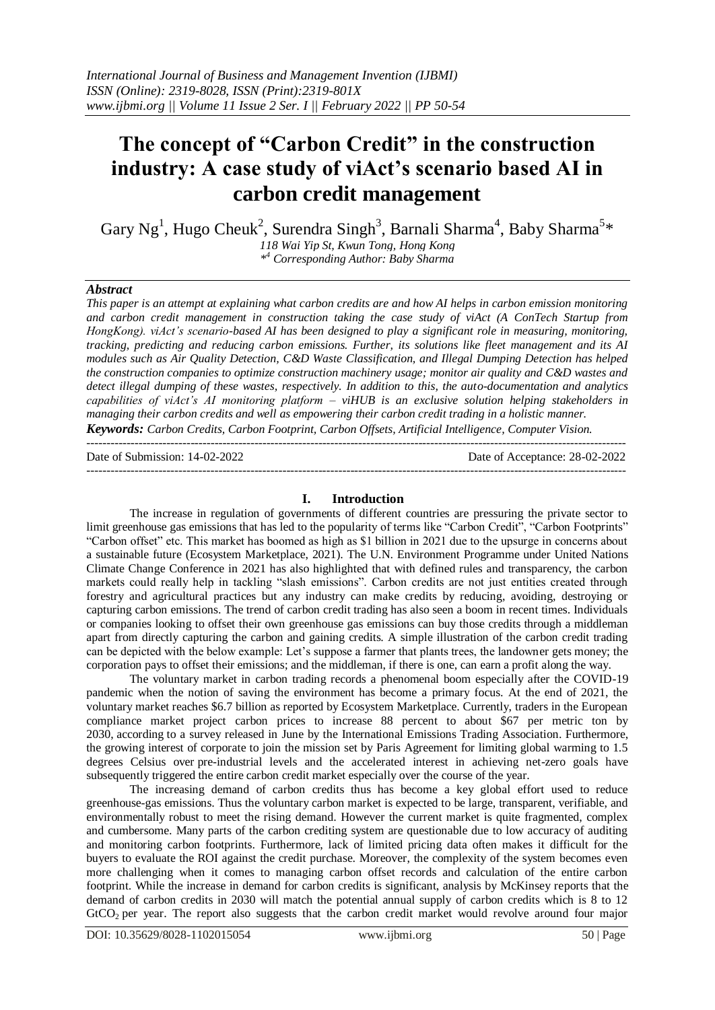# **The concept of "Carbon Credit" in the construction industry: A case study of viAct's scenario based AI in carbon credit management**

Gary Ng<sup>1</sup>, Hugo Cheuk<sup>2</sup>, Surendra Singh<sup>3</sup>, Barnali Sharma<sup>4</sup>, Baby Sharma<sup>5\*</sup> *118 Wai Yip St, Kwun Tong, Hong Kong \* <sup>4</sup> Corresponding Author: Baby Sharma* 

#### *Abstract*

*This paper is an attempt at explaining what carbon credits are and how AI helps in carbon emission monitoring and carbon credit management in construction taking the case study of viAct (A ConTech Startup from HongKong). viAct's scenario-based AI has been designed to play a significant role in measuring, monitoring, tracking, predicting and reducing carbon emissions. Further, its solutions like fleet management and its AI modules such as Air Quality Detection, C&D Waste Classification, and Illegal Dumping Detection has helped the construction companies to optimize construction machinery usage; monitor air quality and C&D wastes and detect illegal dumping of these wastes, respectively. In addition to this, the auto-documentation and analytics capabilities of viAct's AI monitoring platform – viHUB is an exclusive solution helping stakeholders in managing their carbon credits and well as empowering their carbon credit trading in a holistic manner. Keywords: Carbon Credits, Carbon Footprint, Carbon Offsets, Artificial Intelligence, Computer Vision.*

---------------------------------------------------------------------------------------------------------------------------------------

Date of Submission: 14-02-2022 Date of Acceptance: 28-02-2022 ---------------------------------------------------------------------------------------------------------------------------------------

#### **I. Introduction**

The increase in regulation of governments of different countries are pressuring the private sector to limit greenhouse gas emissions that has led to the popularity of terms like "Carbon Credit", "Carbon Footprints" "Carbon offset" etc. This market has boomed as high as \$1 billion in 2021 due to the upsurge in concerns about a sustainable future (Ecosystem Marketplace, 2021). The U.N. Environment Programme under United Nations Climate Change Conference in 2021 has also highlighted that with defined rules and transparency, the carbon markets could really help in tackling "slash emissions". Carbon credits are not just entities created through forestry and agricultural practices but any industry can make credits by reducing, avoiding, destroying or capturing carbon emissions. The trend of carbon credit trading has also seen a boom in recent times. Individuals or companies looking to offset their own greenhouse gas emissions can buy those credits through a middleman apart from directly capturing the carbon and gaining credits. A simple illustration of the carbon credit trading can be depicted with the below example: Let's suppose a farmer that plants trees, the landowner gets money; the corporation pays to offset their emissions; and the middleman, if there is one, can earn a profit along the way.

The voluntary market in carbon trading records a phenomenal boom especially after the COVID-19 pandemic when the notion of saving the environment has become a primary focus. At the end of 2021, the voluntary market reaches \$6.7 billion as reported by Ecosystem Marketplace. Currently, traders in the European compliance market project carbon prices to increase 88 percent to about \$67 per metric ton by 2030, according to a survey released in June by the International Emissions Trading Association. Furthermore, the growing interest of corporate to join the mission set by Paris Agreement for limiting global warming to 1.5 degrees Celsius over pre-industrial levels and the accelerated interest in achieving net-zero goals have subsequently triggered the entire carbon credit market especially over the course of the year.

The increasing demand of carbon credits thus has become a key global effort used to reduce greenhouse-gas emissions. Thus the voluntary carbon market is expected to be large, transparent, verifiable, and environmentally robust to meet the rising demand. However the current market is quite fragmented, complex and cumbersome. Many parts of the carbon crediting system are questionable due to low accuracy of auditing and monitoring carbon footprints. Furthermore, lack of limited pricing data often makes it difficult for the buyers to evaluate the ROI against the credit purchase. Moreover, the complexity of the system becomes even more challenging when it comes to managing carbon offset records and calculation of the entire carbon footprint. While the increase in demand for carbon credits is significant, analysis by McKinsey reports that the demand of carbon credits in 2030 will match the potential annual supply of carbon credits which is 8 to 12 GtCO<sub>2</sub> per year. The report also suggests that the carbon credit market would revolve around four major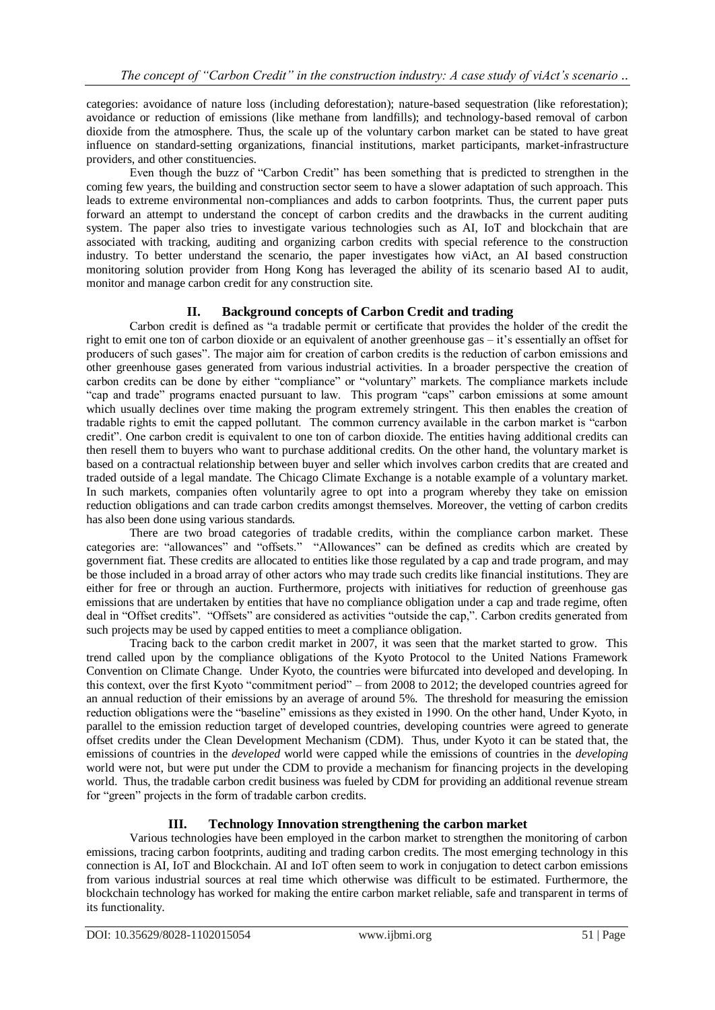categories: avoidance of nature loss (including deforestation); nature-based sequestration (like reforestation); avoidance or reduction of emissions (like methane from landfills); and technology-based removal of carbon dioxide from the atmosphere. Thus, the scale up of the voluntary carbon market can be stated to have great influence on standard-setting organizations, financial institutions, market participants, market-infrastructure providers, and other constituencies.

Even though the buzz of "Carbon Credit" has been something that is predicted to strengthen in the coming few years, the building and construction sector seem to have a slower adaptation of such approach. This leads to extreme environmental non-compliances and adds to carbon footprints. Thus, the current paper puts forward an attempt to understand the concept of carbon credits and the drawbacks in the current auditing system. The paper also tries to investigate various technologies such as AI, IoT and blockchain that are associated with tracking, auditing and organizing carbon credits with special reference to the construction industry. To better understand the scenario, the paper investigates how viAct, an AI based construction monitoring solution provider from Hong Kong has leveraged the ability of its scenario based AI to audit, monitor and manage carbon credit for any construction site.

# **II. Background concepts of Carbon Credit and trading**

Carbon credit is defined as "a tradable permit or certificate that provides the holder of the credit the right to emit one ton of carbon dioxide or an equivalent of another greenhouse gas – it's essentially an offset for producers of such gases". The major aim for creation of carbon credits is the reduction of carbon emissions and other greenhouse gases generated from various industrial activities. In a broader perspective the creation of carbon credits can be done by either "compliance" or "voluntary" markets. The compliance markets include "cap and trade" programs enacted pursuant to law. This program "caps" carbon emissions at some amount which usually declines over time making the program extremely stringent. This then enables the creation of tradable rights to emit the capped pollutant. The common currency available in the carbon market is "carbon credit". One carbon credit is equivalent to one ton of carbon dioxide. The entities having additional credits can then resell them to buyers who want to purchase additional credits. On the other hand, the voluntary market is based on a contractual relationship between buyer and seller which involves carbon credits that are created and traded outside of a legal mandate. The Chicago Climate Exchange is a notable example of a voluntary market. In such markets, companies often voluntarily agree to opt into a program whereby they take on emission reduction obligations and can trade carbon credits amongst themselves. Moreover, the vetting of carbon credits has also been done using various standards.

There are two broad categories of tradable credits, within the compliance carbon market. These categories are: "allowances" and "offsets." "Allowances" can be defined as credits which are created by government fiat. These credits are allocated to entities like those regulated by a cap and trade program, and may be those included in a broad array of other actors who may trade such credits like financial institutions. They are either for free or through an auction. Furthermore, projects with initiatives for reduction of greenhouse gas emissions that are undertaken by entities that have no compliance obligation under a cap and trade regime, often deal in "Offset credits". "Offsets" are considered as activities "outside the cap,". Carbon credits generated from such projects may be used by capped entities to meet a compliance obligation.

Tracing back to the carbon credit market in 2007, it was seen that the market started to grow. This trend called upon by the compliance obligations of the Kyoto Protocol to the United Nations Framework Convention on Climate Change. Under Kyoto, the countries were bifurcated into developed and developing. In this context, over the first Kyoto "commitment period" – from 2008 to 2012; the developed countries agreed for an annual reduction of their emissions by an average of around 5%. The threshold for measuring the emission reduction obligations were the "baseline" emissions as they existed in 1990. On the other hand, Under Kyoto, in parallel to the emission reduction target of developed countries, developing countries were agreed to generate offset credits under the Clean Development Mechanism (CDM). Thus, under Kyoto it can be stated that, the emissions of countries in the *developed* world were capped while the emissions of countries in the *developing* world were not, but were put under the CDM to provide a mechanism for financing projects in the developing world. Thus, the tradable carbon credit business was fueled by CDM for providing an additional revenue stream for "green" projects in the form of tradable carbon credits.

# **III. Technology Innovation strengthening the carbon market**

Various technologies have been employed in the carbon market to strengthen the monitoring of carbon emissions, tracing carbon footprints, auditing and trading carbon credits. The most emerging technology in this connection is AI, IoT and Blockchain. AI and IoT often seem to work in conjugation to detect carbon emissions from various industrial sources at real time which otherwise was difficult to be estimated. Furthermore, the blockchain technology has worked for making the entire carbon market reliable, safe and transparent in terms of its functionality.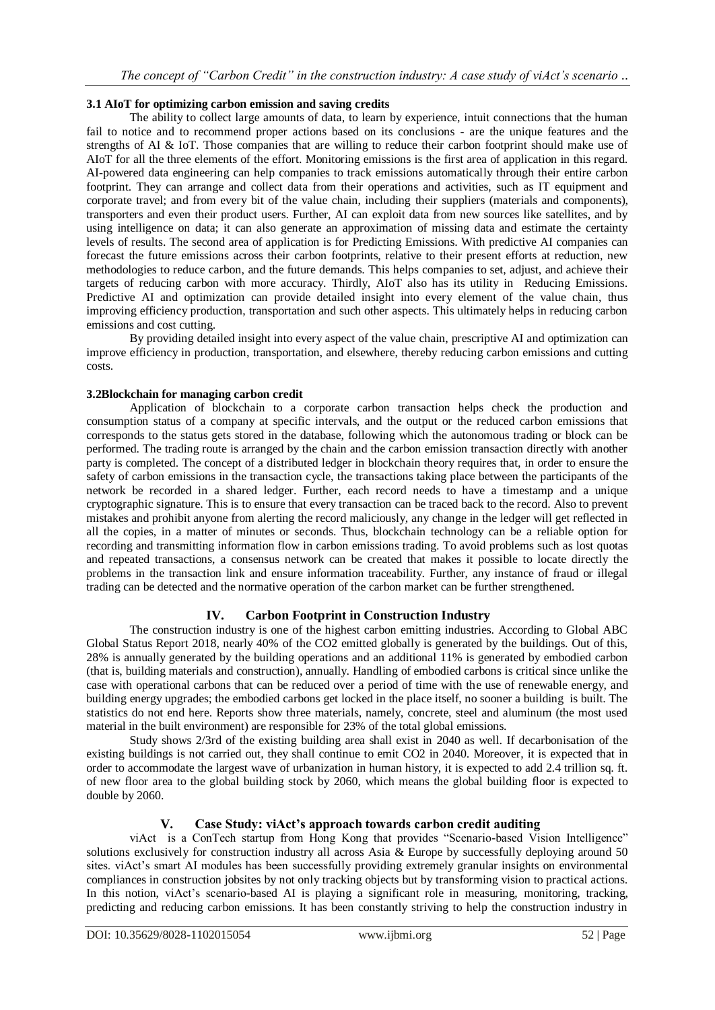## **3.1 AIoT for optimizing carbon emission and saving credits**

The ability to collect large amounts of data, to learn by experience, intuit connections that the human fail to notice and to recommend proper actions based on its conclusions - are the unique features and the strengths of AI & IoT. Those companies that are willing to reduce their carbon footprint should make use of AIoT for all the three elements of the effort. Monitoring emissions is the first area of application in this regard. AI-powered data engineering can help companies to track emissions automatically through their entire carbon footprint. They can arrange and collect data from their operations and activities, such as IT equipment and corporate travel; and from every bit of the value chain, including their suppliers (materials and components), transporters and even their product users. Further, AI can exploit data from new sources like satellites, and by using intelligence on data; it can also generate an approximation of missing data and estimate the certainty levels of results. The second area of application is for Predicting Emissions. With predictive AI companies can forecast the future emissions across their carbon footprints, relative to their present efforts at reduction, new methodologies to reduce carbon, and the future demands. This helps companies to set, adjust, and achieve their targets of reducing carbon with more accuracy. Thirdly, AIoT also has its utility in Reducing Emissions. Predictive AI and optimization can provide detailed insight into every element of the value chain, thus improving efficiency production, transportation and such other aspects. This ultimately helps in reducing carbon emissions and cost cutting.

By providing detailed insight into every aspect of the value chain, prescriptive AI and optimization can improve efficiency in production, transportation, and elsewhere, thereby reducing carbon emissions and cutting costs.

## **3.2Blockchain for managing carbon credit**

Application of blockchain to a corporate carbon transaction helps check the production and consumption status of a company at specific intervals, and the output or the reduced carbon emissions that corresponds to the status gets stored in the database, following which the autonomous trading or block can be performed. The trading route is arranged by the chain and the carbon emission transaction directly with another party is completed. The concept of a distributed ledger in blockchain theory requires that, in order to ensure the safety of carbon emissions in the transaction cycle, the transactions taking place between the participants of the network be recorded in a shared ledger. Further, each record needs to have a timestamp and a unique cryptographic signature. This is to ensure that every transaction can be traced back to the record. Also to prevent mistakes and prohibit anyone from alerting the record maliciously, any change in the ledger will get reflected in all the copies, in a matter of minutes or seconds. Thus, blockchain technology can be a reliable option for recording and transmitting information flow in carbon emissions trading. To avoid problems such as lost quotas and repeated transactions, a consensus network can be created that makes it possible to locate directly the problems in the transaction link and ensure information traceability. Further, any instance of fraud or illegal trading can be detected and the normative operation of the carbon market can be further strengthened.

## **IV. Carbon Footprint in Construction Industry**

The construction industry is one of the highest carbon emitting industries. According to Global ABC Global Status Report 2018, nearly 40% of the CO2 emitted globally is generated by the buildings. Out of this, 28% is annually generated by the building operations and an additional 11% is generated by embodied carbon (that is, building materials and construction), annually. Handling of embodied carbons is critical since unlike the case with operational carbons that can be reduced over a period of time with the use of renewable energy, and building energy upgrades; the embodied carbons get locked in the place itself, no sooner a building is built. The statistics do not end here. Reports show three materials, namely, concrete, steel and aluminum (the most used material in the built environment) are responsible for 23% of the total global emissions.

Study shows 2/3rd of the existing building area shall exist in 2040 as well. If decarbonisation of the existing buildings is not carried out, they shall continue to emit CO2 in 2040. Moreover, it is expected that in order to accommodate the largest wave of urbanization in human history, it is expected to add 2.4 trillion sq. ft. of new floor area to the global building stock by 2060, which means the global building floor is expected to double by 2060.

## **V. Case Study: viAct's approach towards carbon credit auditing**

viAct is a ConTech startup from Hong Kong that provides "Scenario-based Vision Intelligence" solutions exclusively for construction industry all across Asia & Europe by successfully deploying around 50 sites. viAct's smart AI modules has been successfully providing extremely granular insights on environmental compliances in construction jobsites by not only tracking objects but by transforming vision to practical actions. In this notion, viAct's scenario-based AI is playing a significant role in measuring, monitoring, tracking, predicting and reducing carbon emissions. It has been constantly striving to help the construction industry in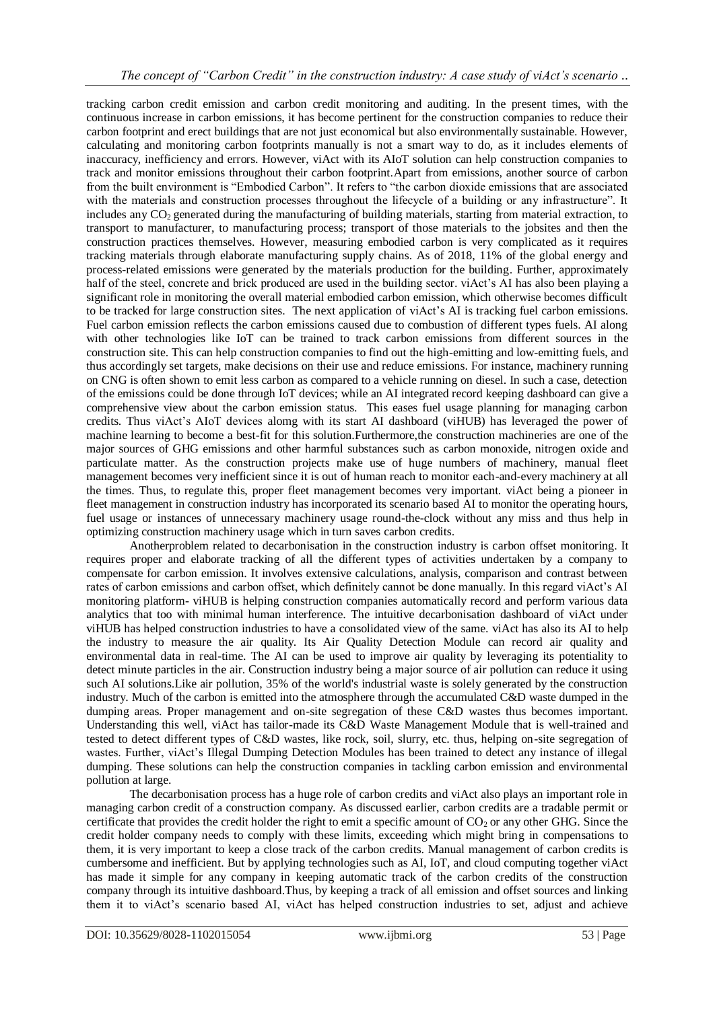tracking carbon credit emission and carbon credit monitoring and auditing. In the present times, with the continuous increase in carbon emissions, it has become pertinent for the construction companies to reduce their carbon footprint and erect buildings that are not just economical but also environmentally sustainable. However, calculating and monitoring carbon footprints manually is not a smart way to do, as it includes elements of inaccuracy, inefficiency and errors. However, viAct with its AIoT solution can help construction companies to track and monitor emissions throughout their carbon footprint.Apart from emissions, another source of carbon from the built environment is "Embodied Carbon". It refers to "the carbon dioxide emissions that are associated with the materials and construction processes throughout the lifecycle of a building or any infrastructure". It includes any CO<sub>2</sub> generated during the manufacturing of building materials, starting from material extraction, to transport to manufacturer, to manufacturing process; transport of those materials to the jobsites and then the construction practices themselves. However, measuring embodied carbon is very complicated as it requires tracking materials through elaborate manufacturing supply chains. As of 2018, 11% of the global energy and process-related emissions were generated by the materials production for the building. Further, approximately half of the steel, concrete and brick produced are used in the building sector, viAct's AI has also been playing a significant role in monitoring the overall material embodied carbon emission, which otherwise becomes difficult to be tracked for large construction sites. The next application of viAct's AI is tracking fuel carbon emissions. Fuel carbon emission reflects the carbon emissions caused due to combustion of different types fuels. AI along with other technologies like IoT can be trained to track carbon emissions from different sources in the construction site. This can help construction companies to find out the high-emitting and low-emitting fuels, and thus accordingly set targets, make decisions on their use and reduce emissions. For instance, machinery running on CNG is often shown to emit less carbon as compared to a vehicle running on diesel. In such a case, detection of the emissions could be done through IoT devices; while an AI integrated record keeping dashboard can give a comprehensive view about the carbon emission status. This eases fuel usage planning for managing carbon credits. Thus viAct's AIoT devices alomg with its start AI dashboard (viHUB) has leveraged the power of machine learning to become a best-fit for this solution.Furthermore,the construction machineries are one of the major sources of GHG emissions and other harmful substances such as carbon monoxide, nitrogen oxide and particulate matter. As the construction projects make use of huge numbers of machinery, manual fleet management becomes very inefficient since it is out of human reach to monitor each-and-every machinery at all the times. Thus, to regulate this, proper fleet management becomes very important. viAct being a pioneer in fleet management in construction industry has incorporated its scenario based AI to monitor the operating hours, fuel usage or instances of unnecessary machinery usage round-the-clock without any miss and thus help in optimizing construction machinery usage which in turn saves carbon credits.

Anotherproblem related to decarbonisation in the construction industry is carbon offset monitoring. It requires proper and elaborate tracking of all the different types of activities undertaken by a company to compensate for carbon emission. It involves extensive calculations, analysis, comparison and contrast between rates of carbon emissions and carbon offset, which definitely cannot be done manually. In this regard viAct's AI monitoring platform- viHUB is helping construction companies automatically record and perform various data analytics that too with minimal human interference. The intuitive decarbonisation dashboard of viAct under viHUB has helped construction industries to have a consolidated view of the same. viAct has also its AI to help the industry to measure the air quality. Its Air Quality Detection Module can record air quality and environmental data in real-time. The AI can be used to improve air quality by leveraging its potentiality to detect minute particles in the air. Construction industry being a major source of air pollution can reduce it using such AI solutions.Like air pollution, 35% of the world's industrial waste is solely generated by the construction industry. Much of the carbon is emitted into the atmosphere through the accumulated C&D waste dumped in the dumping areas. Proper management and on-site segregation of these C&D wastes thus becomes important. Understanding this well, viAct has tailor-made its C&D Waste Management Module that is well-trained and tested to detect different types of C&D wastes, like rock, soil, slurry, etc. thus, helping on-site segregation of wastes. Further, viAct's Illegal Dumping Detection Modules has been trained to detect any instance of illegal dumping. These solutions can help the construction companies in tackling carbon emission and environmental pollution at large.

The decarbonisation process has a huge role of carbon credits and viAct also plays an important role in managing carbon credit of a construction company. As discussed earlier, carbon credits are a tradable permit or certificate that provides the credit holder the right to emit a specific amount of  $CO<sub>2</sub>$  or any other GHG. Since the credit holder company needs to comply with these limits, exceeding which might bring in compensations to them, it is very important to keep a close track of the carbon credits. Manual management of carbon credits is cumbersome and inefficient. But by applying technologies such as AI, IoT, and cloud computing together viAct has made it simple for any company in keeping automatic track of the carbon credits of the construction company through its intuitive dashboard.Thus, by keeping a track of all emission and offset sources and linking them it to viAct's scenario based AI, viAct has helped construction industries to set, adjust and achieve